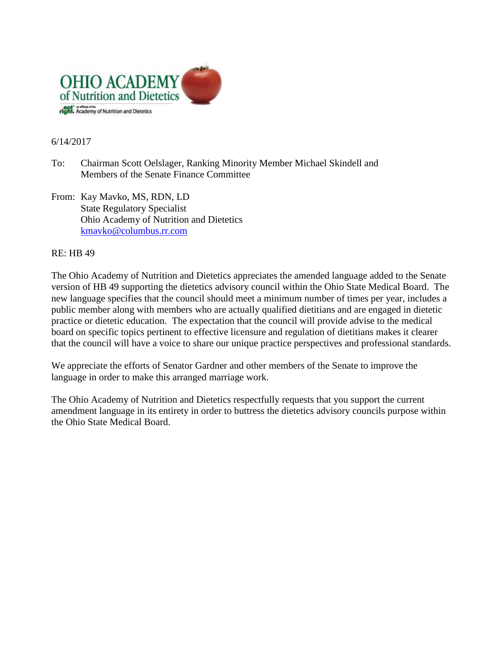

## 6/14/2017

- To: Chairman Scott Oelslager, Ranking Minority Member Michael Skindell and Members of the Senate Finance Committee
- From: Kay Mavko, MS, RDN, LD State Regulatory Specialist Ohio Academy of Nutrition and Dietetics [kmavko@columbus.rr.com](mailto:kmavko@columbus.rr.com)

## RE: HB 49

The Ohio Academy of Nutrition and Dietetics appreciates the amended language added to the Senate version of HB 49 supporting the dietetics advisory council within the Ohio State Medical Board. The new language specifies that the council should meet a minimum number of times per year, includes a public member along with members who are actually qualified dietitians and are engaged in dietetic practice or dietetic education. The expectation that the council will provide advise to the medical board on specific topics pertinent to effective licensure and regulation of dietitians makes it clearer that the council will have a voice to share our unique practice perspectives and professional standards.

We appreciate the efforts of Senator Gardner and other members of the Senate to improve the language in order to make this arranged marriage work.

The Ohio Academy of Nutrition and Dietetics respectfully requests that you support the current amendment language in its entirety in order to buttress the dietetics advisory councils purpose within the Ohio State Medical Board.